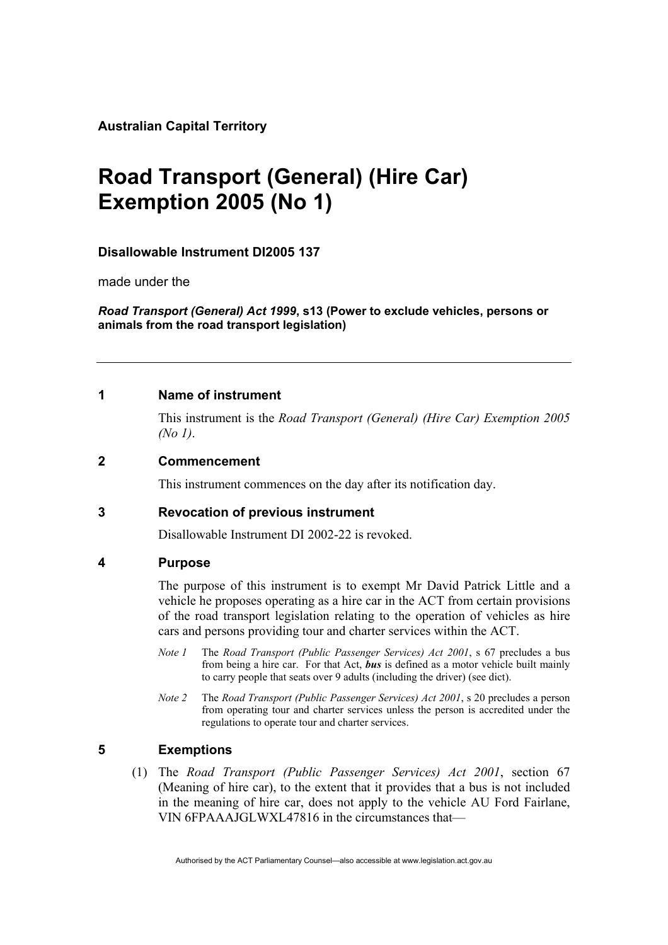**Australian Capital Territory** 

# **Road Transport (General) (Hire Car) Exemption 2005 (No 1)**

## **Disallowable Instrument DI2005 137**

made under the

*Road Transport (General) Act 1999***, s13 (Power to exclude vehicles, persons or animals from the road transport legislation)** 

### **1 Name of instrument**

This instrument is the *Road Transport (General) (Hire Car) Exemption 2005 (No 1)*.

### **2 Commencement**

This instrument commences on the day after its notification day.

## **3 Revocation of previous instrument**

Disallowable Instrument DI 2002-22 is revoked.

#### **4 Purpose**

The purpose of this instrument is to exempt Mr David Patrick Little and a vehicle he proposes operating as a hire car in the ACT from certain provisions of the road transport legislation relating to the operation of vehicles as hire cars and persons providing tour and charter services within the ACT.

- *Note 1* The *Road Transport (Public Passenger Services) Act 2001*, s 67 precludes a bus from being a hire car. For that Act, *bus* is defined as a motor vehicle built mainly to carry people that seats over 9 adults (including the driver) (see dict).
- *Note 2* The *Road Transport (Public Passenger Services) Act 2001*, s 20 precludes a person from operating tour and charter services unless the person is accredited under the regulations to operate tour and charter services.

## **5 Exemptions**

 (1) The *Road Transport (Public Passenger Services) Act 2001*, section 67 (Meaning of hire car), to the extent that it provides that a bus is not included in the meaning of hire car, does not apply to the vehicle AU Ford Fairlane, VIN 6FPAAAJGLWXL47816 in the circumstances that—